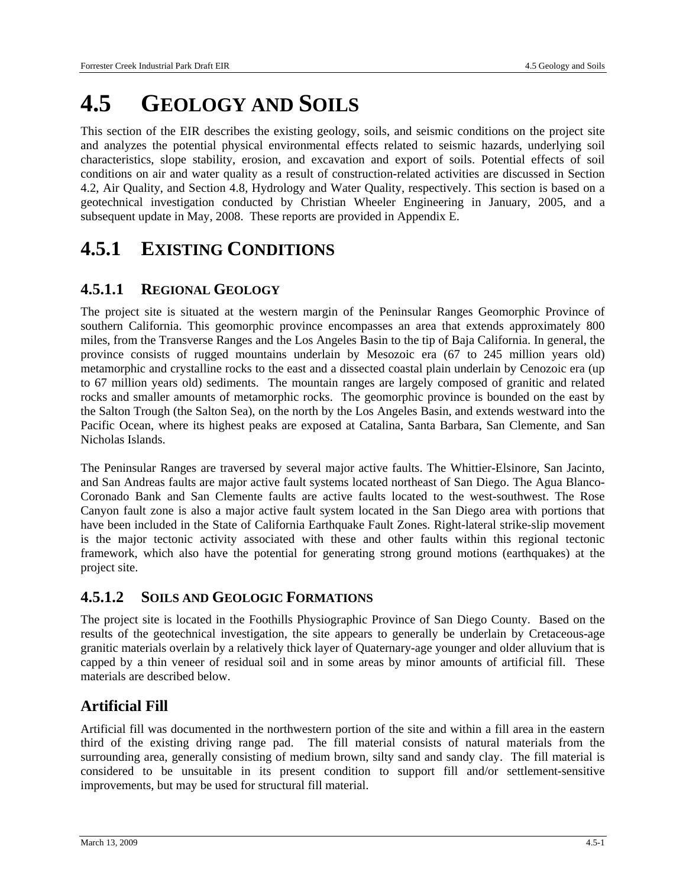# **4.5 GEOLOGY AND SOILS**

This section of the EIR describes the existing geology, soils, and seismic conditions on the project site and analyzes the potential physical environmental effects related to seismic hazards, underlying soil characteristics, slope stability, erosion, and excavation and export of soils. Potential effects of soil conditions on air and water quality as a result of construction-related activities are discussed in Section 4.2, Air Quality, and Section 4.8, Hydrology and Water Quality, respectively. This section is based on a geotechnical investigation conducted by Christian Wheeler Engineering in January, 2005, and a subsequent update in May, 2008. These reports are provided in Appendix E.

# **4.5.1 EXISTING CONDITIONS**

#### **4.5.1.1 REGIONAL GEOLOGY**

The project site is situated at the western margin of the Peninsular Ranges Geomorphic Province of southern California. This geomorphic province encompasses an area that extends approximately 800 miles, from the Transverse Ranges and the Los Angeles Basin to the tip of Baja California. In general, the province consists of rugged mountains underlain by Mesozoic era (67 to 245 million years old) metamorphic and crystalline rocks to the east and a dissected coastal plain underlain by Cenozoic era (up to 67 million years old) sediments. The mountain ranges are largely composed of granitic and related rocks and smaller amounts of metamorphic rocks. The geomorphic province is bounded on the east by the Salton Trough (the Salton Sea), on the north by the Los Angeles Basin, and extends westward into the Pacific Ocean, where its highest peaks are exposed at Catalina, Santa Barbara, San Clemente, and San Nicholas Islands.

The Peninsular Ranges are traversed by several major active faults. The Whittier-Elsinore, San Jacinto, and San Andreas faults are major active fault systems located northeast of San Diego. The Agua Blanco-Coronado Bank and San Clemente faults are active faults located to the west-southwest. The Rose Canyon fault zone is also a major active fault system located in the San Diego area with portions that have been included in the State of California Earthquake Fault Zones. Right-lateral strike-slip movement is the major tectonic activity associated with these and other faults within this regional tectonic framework, which also have the potential for generating strong ground motions (earthquakes) at the project site.

#### **4.5.1.2 SOILS AND GEOLOGIC FORMATIONS**

The project site is located in the Foothills Physiographic Province of San Diego County. Based on the results of the geotechnical investigation, the site appears to generally be underlain by Cretaceous-age granitic materials overlain by a relatively thick layer of Quaternary-age younger and older alluvium that is capped by a thin veneer of residual soil and in some areas by minor amounts of artificial fill. These materials are described below.

#### **Artificial Fill**

Artificial fill was documented in the northwestern portion of the site and within a fill area in the eastern third of the existing driving range pad. The fill material consists of natural materials from the surrounding area, generally consisting of medium brown, silty sand and sandy clay. The fill material is considered to be unsuitable in its present condition to support fill and/or settlement-sensitive improvements, but may be used for structural fill material.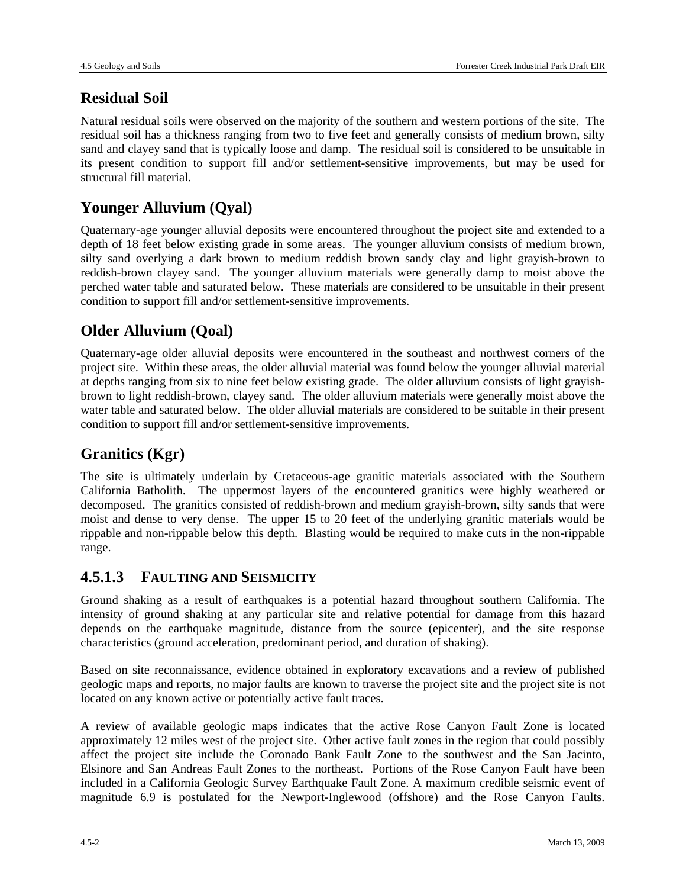### **Residual Soil**

Natural residual soils were observed on the majority of the southern and western portions of the site. The residual soil has a thickness ranging from two to five feet and generally consists of medium brown, silty sand and clayey sand that is typically loose and damp. The residual soil is considered to be unsuitable in its present condition to support fill and/or settlement-sensitive improvements, but may be used for structural fill material.

#### **Younger Alluvium (Qyal)**

Quaternary-age younger alluvial deposits were encountered throughout the project site and extended to a depth of 18 feet below existing grade in some areas. The younger alluvium consists of medium brown, silty sand overlying a dark brown to medium reddish brown sandy clay and light grayish-brown to reddish-brown clayey sand. The younger alluvium materials were generally damp to moist above the perched water table and saturated below. These materials are considered to be unsuitable in their present condition to support fill and/or settlement-sensitive improvements.

### **Older Alluvium (Qoal)**

Quaternary-age older alluvial deposits were encountered in the southeast and northwest corners of the project site. Within these areas, the older alluvial material was found below the younger alluvial material at depths ranging from six to nine feet below existing grade. The older alluvium consists of light grayishbrown to light reddish-brown, clayey sand. The older alluvium materials were generally moist above the water table and saturated below. The older alluvial materials are considered to be suitable in their present condition to support fill and/or settlement-sensitive improvements.

### **Granitics (Kgr)**

The site is ultimately underlain by Cretaceous-age granitic materials associated with the Southern California Batholith. The uppermost layers of the encountered granitics were highly weathered or decomposed. The granitics consisted of reddish-brown and medium grayish-brown, silty sands that were moist and dense to very dense. The upper 15 to 20 feet of the underlying granitic materials would be rippable and non-rippable below this depth. Blasting would be required to make cuts in the non-rippable range.

#### **4.5.1.3 FAULTING AND SEISMICITY**

Ground shaking as a result of earthquakes is a potential hazard throughout southern California. The intensity of ground shaking at any particular site and relative potential for damage from this hazard depends on the earthquake magnitude, distance from the source (epicenter), and the site response characteristics (ground acceleration, predominant period, and duration of shaking).

Based on site reconnaissance, evidence obtained in exploratory excavations and a review of published geologic maps and reports, no major faults are known to traverse the project site and the project site is not located on any known active or potentially active fault traces.

A review of available geologic maps indicates that the active Rose Canyon Fault Zone is located approximately 12 miles west of the project site. Other active fault zones in the region that could possibly affect the project site include the Coronado Bank Fault Zone to the southwest and the San Jacinto, Elsinore and San Andreas Fault Zones to the northeast. Portions of the Rose Canyon Fault have been included in a California Geologic Survey Earthquake Fault Zone. A maximum credible seismic event of magnitude 6.9 is postulated for the Newport-Inglewood (offshore) and the Rose Canyon Faults.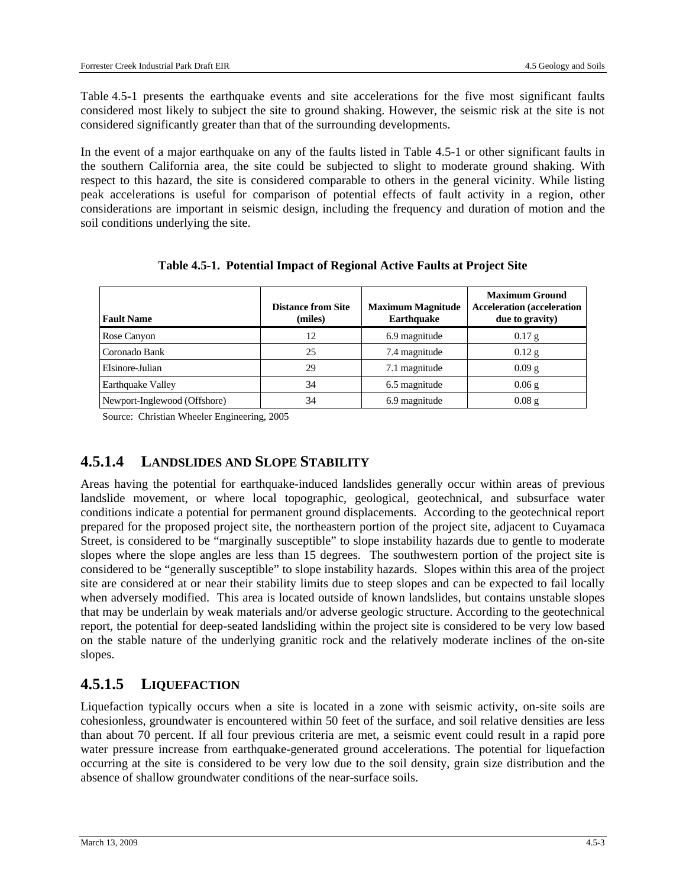Table 4.5-1 presents the earthquake events and site accelerations for the five most significant faults considered most likely to subject the site to ground shaking. However, the seismic risk at the site is not considered significantly greater than that of the surrounding developments.

In the event of a major earthquake on any of the faults listed in Table 4.5-1 or other significant faults in the southern California area, the site could be subjected to slight to moderate ground shaking. With respect to this hazard, the site is considered comparable to others in the general vicinity. While listing peak accelerations is useful for comparison of potential effects of fault activity in a region, other considerations are important in seismic design, including the frequency and duration of motion and the soil conditions underlying the site.

| <b>Fault Name</b>            | <b>Distance from Site</b><br>(miles) | <b>Maximum Magnitude</b><br><b>Earthquake</b> | <b>Maximum Ground</b><br><b>Acceleration</b> (acceleration<br>due to gravity) |
|------------------------------|--------------------------------------|-----------------------------------------------|-------------------------------------------------------------------------------|
| Rose Canyon                  | 12                                   | 6.9 magnitude                                 | $0.17$ g                                                                      |
| Coronado Bank                | 25                                   | 7.4 magnitude                                 | $0.12$ g                                                                      |
| Elsinore-Julian              | 29                                   | 7.1 magnitude                                 | $0.09$ g                                                                      |
| <b>Earthquake Valley</b>     | 34                                   | 6.5 magnitude                                 | $0.06$ g                                                                      |
| Newport-Inglewood (Offshore) | 34                                   | 6.9 magnitude                                 | $0.08$ g                                                                      |

**Table 4.5-1. Potential Impact of Regional Active Faults at Project Site** 

Source: Christian Wheeler Engineering, 2005

#### **4.5.1.4 LANDSLIDES AND SLOPE STABILITY**

Areas having the potential for earthquake-induced landslides generally occur within areas of previous landslide movement, or where local topographic, geological, geotechnical, and subsurface water conditions indicate a potential for permanent ground displacements. According to the geotechnical report prepared for the proposed project site, the northeastern portion of the project site, adjacent to Cuyamaca Street, is considered to be "marginally susceptible" to slope instability hazards due to gentle to moderate slopes where the slope angles are less than 15 degrees. The southwestern portion of the project site is considered to be "generally susceptible" to slope instability hazards. Slopes within this area of the project site are considered at or near their stability limits due to steep slopes and can be expected to fail locally when adversely modified. This area is located outside of known landslides, but contains unstable slopes that may be underlain by weak materials and/or adverse geologic structure. According to the geotechnical report, the potential for deep-seated landsliding within the project site is considered to be very low based on the stable nature of the underlying granitic rock and the relatively moderate inclines of the on-site slopes.

#### **4.5.1.5 LIQUEFACTION**

Liquefaction typically occurs when a site is located in a zone with seismic activity, on-site soils are cohesionless, groundwater is encountered within 50 feet of the surface, and soil relative densities are less than about 70 percent. If all four previous criteria are met, a seismic event could result in a rapid pore water pressure increase from earthquake-generated ground accelerations. The potential for liquefaction occurring at the site is considered to be very low due to the soil density, grain size distribution and the absence of shallow groundwater conditions of the near-surface soils.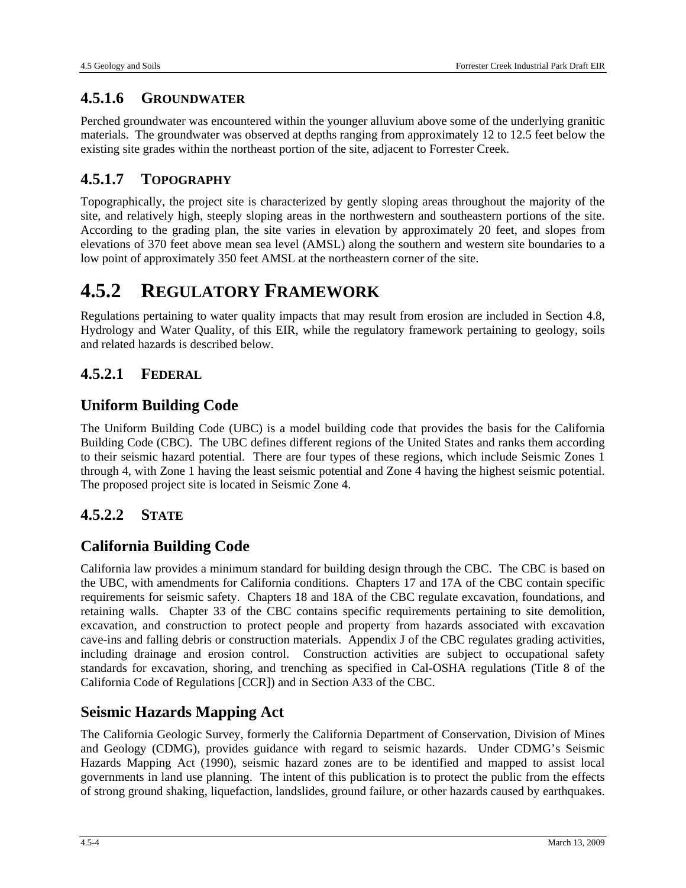#### **4.5.1.6 GROUNDWATER**

Perched groundwater was encountered within the younger alluvium above some of the underlying granitic materials. The groundwater was observed at depths ranging from approximately 12 to 12.5 feet below the existing site grades within the northeast portion of the site, adjacent to Forrester Creek.

#### **4.5.1.7 TOPOGRAPHY**

Topographically, the project site is characterized by gently sloping areas throughout the majority of the site, and relatively high, steeply sloping areas in the northwestern and southeastern portions of the site. According to the grading plan, the site varies in elevation by approximately 20 feet, and slopes from elevations of 370 feet above mean sea level (AMSL) along the southern and western site boundaries to a low point of approximately 350 feet AMSL at the northeastern corner of the site.

# **4.5.2 REGULATORY FRAMEWORK**

Regulations pertaining to water quality impacts that may result from erosion are included in Section 4.8, Hydrology and Water Quality, of this EIR, while the regulatory framework pertaining to geology, soils and related hazards is described below.

#### **4.5.2.1 FEDERAL**

#### **Uniform Building Code**

The Uniform Building Code (UBC) is a model building code that provides the basis for the California Building Code (CBC). The UBC defines different regions of the United States and ranks them according to their seismic hazard potential. There are four types of these regions, which include Seismic Zones 1 through 4, with Zone 1 having the least seismic potential and Zone 4 having the highest seismic potential. The proposed project site is located in Seismic Zone 4.

#### **4.5.2.2 STATE**

#### **California Building Code**

California law provides a minimum standard for building design through the CBC. The CBC is based on the UBC, with amendments for California conditions. Chapters 17 and 17A of the CBC contain specific requirements for seismic safety. Chapters 18 and 18A of the CBC regulate excavation, foundations, and retaining walls. Chapter 33 of the CBC contains specific requirements pertaining to site demolition, excavation, and construction to protect people and property from hazards associated with excavation cave-ins and falling debris or construction materials. Appendix J of the CBC regulates grading activities, including drainage and erosion control. Construction activities are subject to occupational safety standards for excavation, shoring, and trenching as specified in Cal-OSHA regulations (Title 8 of the California Code of Regulations [CCR]) and in Section A33 of the CBC.

#### **Seismic Hazards Mapping Act**

The California Geologic Survey, formerly the California Department of Conservation, Division of Mines and Geology (CDMG), provides guidance with regard to seismic hazards. Under CDMG's Seismic Hazards Mapping Act (1990), seismic hazard zones are to be identified and mapped to assist local governments in land use planning. The intent of this publication is to protect the public from the effects of strong ground shaking, liquefaction, landslides, ground failure, or other hazards caused by earthquakes.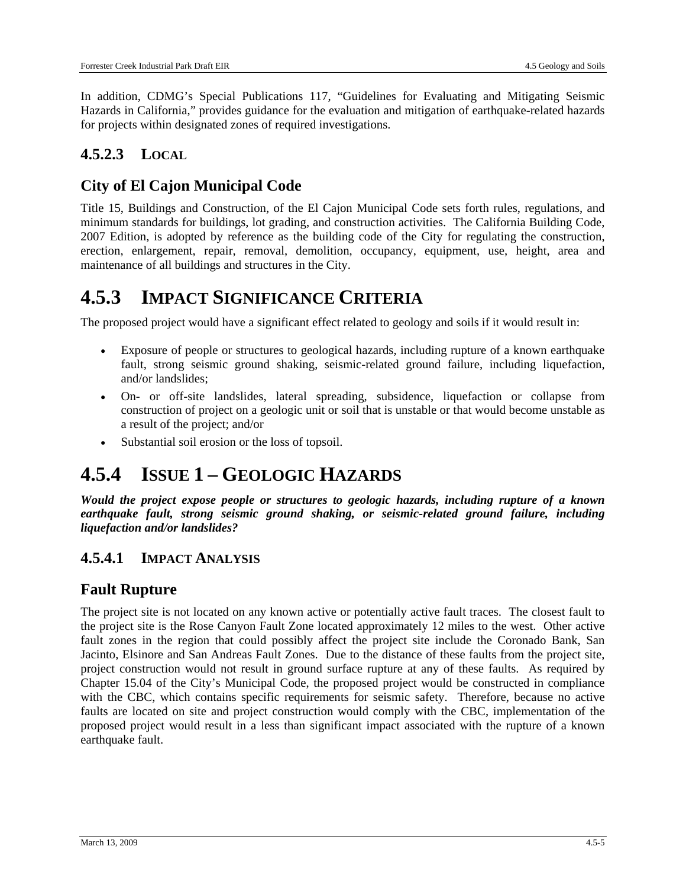In addition, CDMG's Special Publications 117, "Guidelines for Evaluating and Mitigating Seismic Hazards in California," provides guidance for the evaluation and mitigation of earthquake-related hazards for projects within designated zones of required investigations.

### **4.5.2.3 LOCAL**

### **City of El Cajon Municipal Code**

Title 15, Buildings and Construction, of the El Cajon Municipal Code sets forth rules, regulations, and minimum standards for buildings, lot grading, and construction activities. The California Building Code, 2007 Edition, is adopted by reference as the building code of the City for regulating the construction, erection, enlargement, repair, removal, demolition, occupancy, equipment, use, height, area and maintenance of all buildings and structures in the City.

### **4.5.3 IMPACT SIGNIFICANCE CRITERIA**

The proposed project would have a significant effect related to geology and soils if it would result in:

- Exposure of people or structures to geological hazards, including rupture of a known earthquake fault, strong seismic ground shaking, seismic-related ground failure, including liquefaction, and/or landslides;
- On- or off-site landslides, lateral spreading, subsidence, liquefaction or collapse from construction of project on a geologic unit or soil that is unstable or that would become unstable as a result of the project; and/or
- Substantial soil erosion or the loss of topsoil.

## **4.5.4 ISSUE 1 – GEOLOGIC HAZARDS**

*Would the project expose people or structures to geologic hazards, including rupture of a known earthquake fault, strong seismic ground shaking, or seismic-related ground failure, including liquefaction and/or landslides?* 

#### **4.5.4.1 IMPACT ANALYSIS**

#### **Fault Rupture**

The project site is not located on any known active or potentially active fault traces. The closest fault to the project site is the Rose Canyon Fault Zone located approximately 12 miles to the west. Other active fault zones in the region that could possibly affect the project site include the Coronado Bank, San Jacinto, Elsinore and San Andreas Fault Zones. Due to the distance of these faults from the project site, project construction would not result in ground surface rupture at any of these faults. As required by Chapter 15.04 of the City's Municipal Code, the proposed project would be constructed in compliance with the CBC, which contains specific requirements for seismic safety. Therefore, because no active faults are located on site and project construction would comply with the CBC, implementation of the proposed project would result in a less than significant impact associated with the rupture of a known earthquake fault.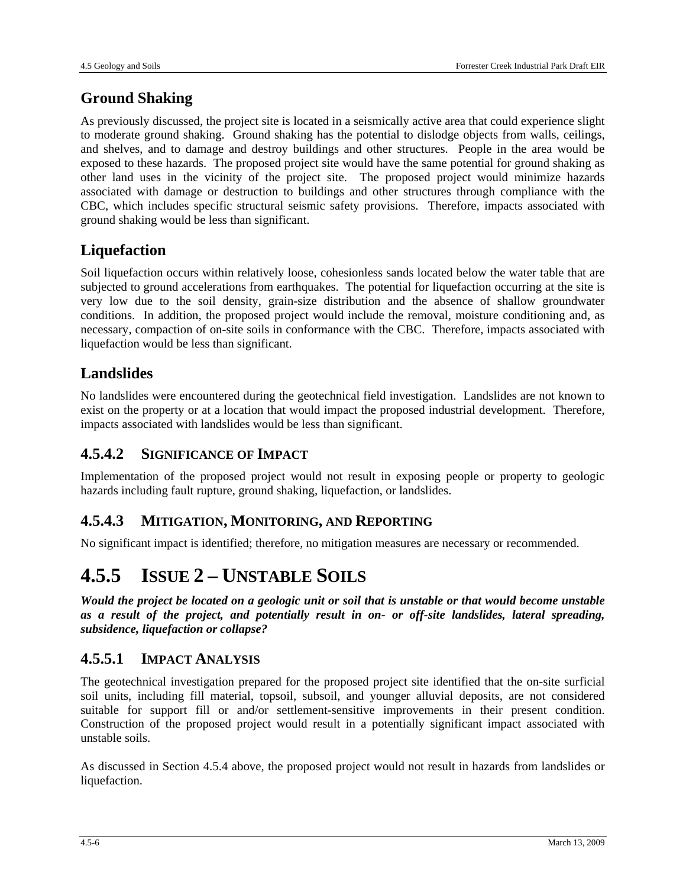### **Ground Shaking**

As previously discussed, the project site is located in a seismically active area that could experience slight to moderate ground shaking. Ground shaking has the potential to dislodge objects from walls, ceilings, and shelves, and to damage and destroy buildings and other structures. People in the area would be exposed to these hazards. The proposed project site would have the same potential for ground shaking as other land uses in the vicinity of the project site. The proposed project would minimize hazards associated with damage or destruction to buildings and other structures through compliance with the CBC, which includes specific structural seismic safety provisions. Therefore, impacts associated with ground shaking would be less than significant.

#### **Liquefaction**

Soil liquefaction occurs within relatively loose, cohesionless sands located below the water table that are subjected to ground accelerations from earthquakes. The potential for liquefaction occurring at the site is very low due to the soil density, grain-size distribution and the absence of shallow groundwater conditions. In addition, the proposed project would include the removal, moisture conditioning and, as necessary, compaction of on-site soils in conformance with the CBC. Therefore, impacts associated with liquefaction would be less than significant.

#### **Landslides**

No landslides were encountered during the geotechnical field investigation. Landslides are not known to exist on the property or at a location that would impact the proposed industrial development. Therefore, impacts associated with landslides would be less than significant.

#### **4.5.4.2 SIGNIFICANCE OF IMPACT**

Implementation of the proposed project would not result in exposing people or property to geologic hazards including fault rupture, ground shaking, liquefaction, or landslides.

#### **4.5.4.3 MITIGATION, MONITORING, AND REPORTING**

No significant impact is identified; therefore, no mitigation measures are necessary or recommended.

## **4.5.5 ISSUE 2 – UNSTABLE SOILS**

*Would the project be located on a geologic unit or soil that is unstable or that would become unstable as a result of the project, and potentially result in on- or off-site landslides, lateral spreading, subsidence, liquefaction or collapse?* 

#### **4.5.5.1 IMPACT ANALYSIS**

The geotechnical investigation prepared for the proposed project site identified that the on-site surficial soil units, including fill material, topsoil, subsoil, and younger alluvial deposits, are not considered suitable for support fill or and/or settlement-sensitive improvements in their present condition. Construction of the proposed project would result in a potentially significant impact associated with unstable soils.

As discussed in Section 4.5.4 above, the proposed project would not result in hazards from landslides or liquefaction.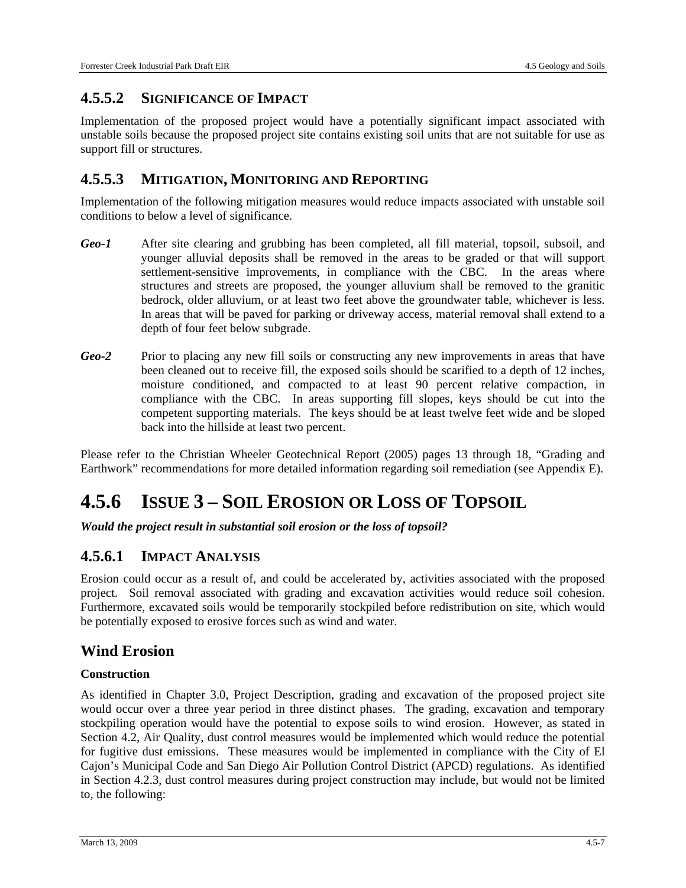#### **4.5.5.2 SIGNIFICANCE OF IMPACT**

Implementation of the proposed project would have a potentially significant impact associated with unstable soils because the proposed project site contains existing soil units that are not suitable for use as support fill or structures.

#### **4.5.5.3 MITIGATION, MONITORING AND REPORTING**

Implementation of the following mitigation measures would reduce impacts associated with unstable soil conditions to below a level of significance.

- *Geo-1* After site clearing and grubbing has been completed, all fill material, topsoil, subsoil, and younger alluvial deposits shall be removed in the areas to be graded or that will support settlement-sensitive improvements, in compliance with the CBC. In the areas where structures and streets are proposed, the younger alluvium shall be removed to the granitic bedrock, older alluvium, or at least two feet above the groundwater table, whichever is less. In areas that will be paved for parking or driveway access, material removal shall extend to a depth of four feet below subgrade.
- *Geo-2* Prior to placing any new fill soils or constructing any new improvements in areas that have been cleaned out to receive fill, the exposed soils should be scarified to a depth of 12 inches, moisture conditioned, and compacted to at least 90 percent relative compaction, in compliance with the CBC. In areas supporting fill slopes, keys should be cut into the competent supporting materials. The keys should be at least twelve feet wide and be sloped back into the hillside at least two percent.

Please refer to the Christian Wheeler Geotechnical Report (2005) pages 13 through 18, "Grading and Earthwork" recommendations for more detailed information regarding soil remediation (see Appendix E).

# **4.5.6 ISSUE 3 – SOIL EROSION OR LOSS OF TOPSOIL**

*Would the project result in substantial soil erosion or the loss of topsoil?* 

#### **4.5.6.1 IMPACT ANALYSIS**

Erosion could occur as a result of, and could be accelerated by, activities associated with the proposed project. Soil removal associated with grading and excavation activities would reduce soil cohesion. Furthermore, excavated soils would be temporarily stockpiled before redistribution on site, which would be potentially exposed to erosive forces such as wind and water.

#### **Wind Erosion**

#### **Construction**

As identified in Chapter 3.0, Project Description, grading and excavation of the proposed project site would occur over a three year period in three distinct phases. The grading, excavation and temporary stockpiling operation would have the potential to expose soils to wind erosion. However, as stated in Section 4.2, Air Quality, dust control measures would be implemented which would reduce the potential for fugitive dust emissions. These measures would be implemented in compliance with the City of El Cajon's Municipal Code and San Diego Air Pollution Control District (APCD) regulations. As identified in Section 4.2.3, dust control measures during project construction may include, but would not be limited to, the following: